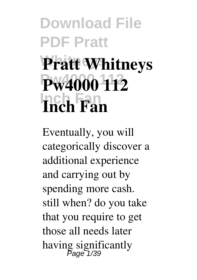## **Download File PDF Pratt Whitneys Pratt Whitneys Pw4000 112 Pw4000 112 Inch Fan Inch Fan**

Eventually, you will categorically discover a additional experience and carrying out by spending more cash. still when? do you take that you require to get those all needs later having significantly Page 1/39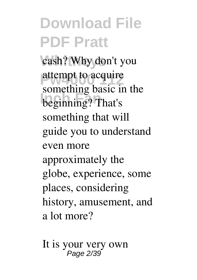cash? Why don't you attempt to acquire **Inch Fancy** Summer Sensors is something basic in the something that will guide you to understand even more approximately the globe, experience, some places, considering history, amusement, and a lot more?

It is your very own Page 2/39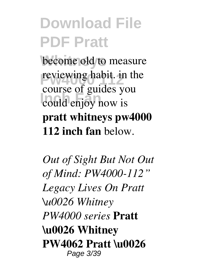become old to measure reviewing habit. in the **Inch Fance** Fance S course of guides you **pratt whitneys pw4000 112 inch fan** below.

*Out of Sight But Not Out of Mind: PW4000-112" Legacy Lives On Pratt \u0026 Whitney PW4000 series* **Pratt \u0026 Whitney PW4062 Pratt \u0026** Page 3/39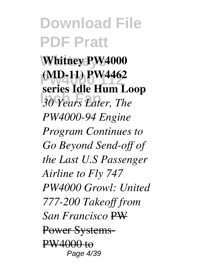**Whitney PW4000 (MD-11) PW4462 Inch Fan** *30 Years Later, The* **series Idle Hum Loop** *PW4000-94 Engine Program Continues to Go Beyond Send-off of the Last U.S Passenger Airline to Fly 747 PW4000 Growl: United 777-200 Takeoff from San Francisco* PW Power Systems-PW4000 to Page 4/39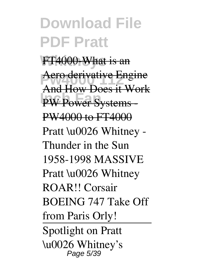FT4000-What is an **Aero derivative Engine PW Power Systems -**And How Does it Work PW4000 to FT4000 Pratt \u0026 Whitney -Thunder in the Sun 1958-1998 MASSIVE Pratt \u0026 Whitney ROAR!! Corsair BOEING 747 Take Off from Paris Orly! Spotlight on Pratt \u0026 Whitney's Page 5/39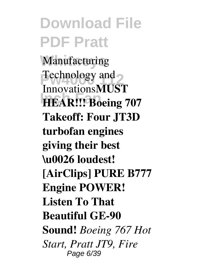**Manufacturing Technology and INCHEAR!!! Boeing 707** Innovations**MUST Takeoff: Four JT3D turbofan engines giving their best \u0026 loudest! [AirClips] PURE B777 Engine POWER! Listen To That Beautiful GE-90 Sound!** *Boeing 767 Hot Start, Pratt JT9, Fire* Page 6/39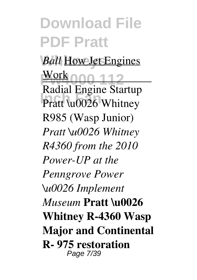*Ball* How Jet Engines **<u>Work000 112</u> Pratt \u0026 Whitney** Work Radial Engine Startup R985 (Wasp Junior) *Pratt \u0026 Whitney R4360 from the 2010 Power-UP at the Penngrove Power \u0026 Implement Museum* **Pratt \u0026 Whitney R-4360 Wasp Major and Continental R- 975 restoration** Page 7/39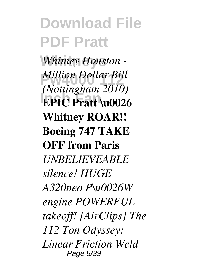**Whitney Houston -***Million Dollar Bill*<br>*Alettinskem* 2010 **EPIC Pratt \u0026** *(Nottingham 2010)* **Whitney ROAR!! Boeing 747 TAKE OFF from Paris** *UNBELIEVEABLE silence! HUGE A320neo P\u0026W engine POWERFUL takeoff! [AirClips] The 112 Ton Odyssey: Linear Friction Weld* Page 8/39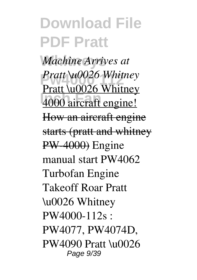**Whitneys** *Machine Arrives at* **Pratt \u0026 Whitney**<br>**Pustt \v0026 Whitney Inch Roofs** Himmer Pratt \u0026 Whitney How an aircraft engine starts (pratt and whitney PW-4000) Engine manual start PW4062 Turbofan Engine Takeoff Roar Pratt \u0026 Whitney PW4000-112s : PW4077, PW4074D, PW4090 Pratt \u0026 Page 9/39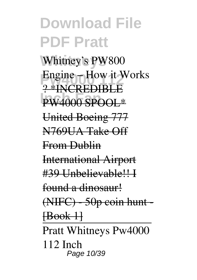Whitney's PW800 Engine – How it Works **PW4000 SPOOL\*** ? \*INCREDIBLE United Boeing 777 N769UA Take Off From Dublin International Airport #39 Unbelievable!! I found a dinosaur! (NIFC) - 50p coin hunt - [Book 1] Pratt Whitneys Pw4000 112 Inch Page 10/39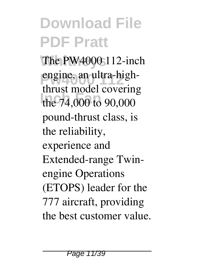The PW4000 112-inch engine, an ultra-highthe 74,000 to 90,000 thrust model covering pound-thrust class, is the reliability, experience and Extended-range Twinengine Operations (ETOPS) leader for the 777 aircraft, providing the best customer value.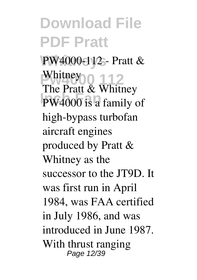**Whitneys** PW4000-112 - Pratt & Whitney 0 112 **PW4000** is a family of The Pratt & Whitney high-bypass turbofan aircraft engines produced by Pratt & Whitney as the successor to the JT9D. It was first run in April 1984, was FAA certified in July 1986, and was introduced in June 1987. With thrust ranging Page 12/39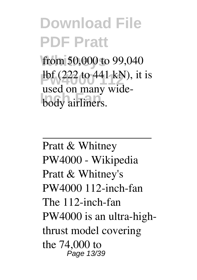from 50,000 to 99,040  $\frac{1}{2}$  (222 to 441 kN), it is **body** airliners. used on many wide-

Pratt & Whitney PW4000 - Wikipedia Pratt & Whitney's PW4000 112-inch-fan The 112-inch-fan PW4000 is an ultra-highthrust model covering the 74,000 to Page 13/39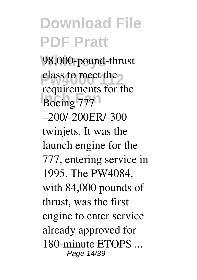98,000-pound-thrust class to meet the Boeing 777 requirements for the –200/-200ER/-300 twinjets. It was the launch engine for the 777, entering service in 1995. The PW4084, with 84,000 pounds of thrust, was the first engine to enter service already approved for 180-minute ETOPS ... Page 14/39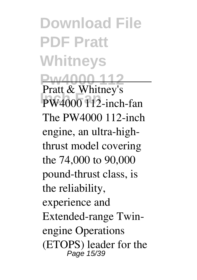**Download File PDF Pratt Whitneys W4000 112 Pratt & Whitney's** PW4000 112-inch-fan The PW4000 112-inch engine, an ultra-highthrust model covering the 74,000 to 90,000 pound-thrust class, is the reliability, experience and Extended-range Twinengine Operations (ETOPS) leader for the Page 15/39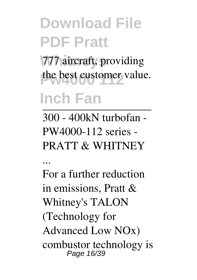777 aircraft, providing the best customer value.

#### **Inch Fan**

300 - 400kN turbofan - PW4000-112 series - PRATT & WHITNEY

...

For a further reduction in emissions, Pratt & Whitney's TALON (Technology for Advanced Low NOx) combustor technology is Page 16/39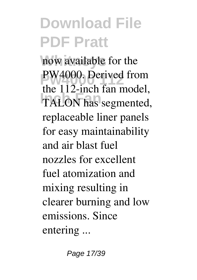now available for the PW4000. Derived from **Inch Fan** TALON has segmented, the 112-inch fan model, replaceable liner panels for easy maintainability and air blast fuel nozzles for excellent fuel atomization and mixing resulting in clearer burning and low emissions. Since entering ...

Page 17/39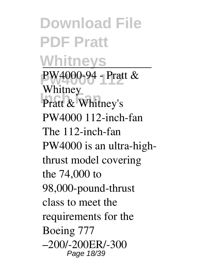**Download File PDF Pratt Whitneys Pw4000 112** PW4000-94 - Pratt & **Pratt & Whitney's** Whitney PW4000 112-inch-fan The 112-inch-fan PW4000 is an ultra-highthrust model covering the 74,000 to 98,000-pound-thrust class to meet the requirements for the Boeing 777 –200/-200ER/-300 Page 18/39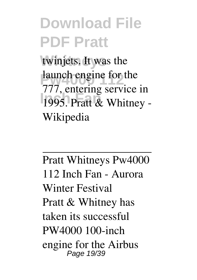twinjets. It was the launch engine for the 1995. Pratt & Whitney -777, entering service in Wikipedia

Pratt Whitneys Pw4000 112 Inch Fan - Aurora Winter Festival Pratt & Whitney has taken its successful PW4000 100-inch engine for the Airbus Page 19/39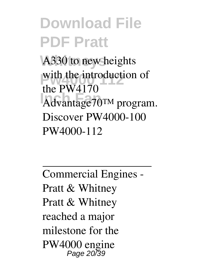A330 to new heights with the introduction of **Inch Fan** Advantage70™ program. the PW4170 Discover PW4000-100 PW4000-112

Commercial Engines - Pratt & Whitney Pratt & Whitney reached a major milestone for the PW4000 engine Page 20/39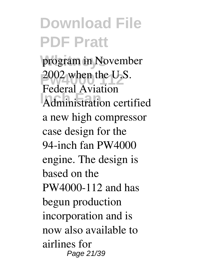program in November 2002 when the U.S. **Administration certified** Federal Aviation a new high compressor case design for the 94-inch fan PW4000 engine. The design is based on the PW4000-112 and has begun production incorporation and is now also available to airlines for Page 21/39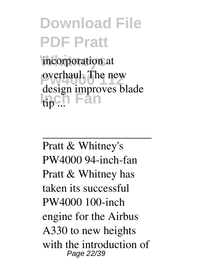incorporation at **pwdecimal.** The new **Inch Fan** design improves blade

Pratt & Whitney's PW4000 94-inch-fan Pratt & Whitney has taken its successful PW4000 100-inch engine for the Airbus A330 to new heights with the introduction of Page 22/39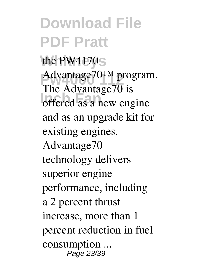the PW4170<sub>S</sub> Advantage70<sup>TM</sup> program. **Inch Fana**,  $\frac{1}{2}$  offered as a new engine The Advantage70 is and as an upgrade kit for existing engines. Advantage70 technology delivers superior engine performance, including a 2 percent thrust increase, more than 1 percent reduction in fuel consumption ... Page 23/39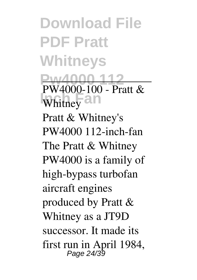**Download File PDF Pratt Whitneys Pw4000 112 PW4000-100 - Pratt &** Whitney $\overline{\text{all}}$ Pratt & Whitney's PW4000 112-inch-fan The Pratt & Whitney PW4000 is a family of high-bypass turbofan aircraft engines produced by Pratt & Whitney as a JT9D successor. It made its first run in April 1984, Page 24/39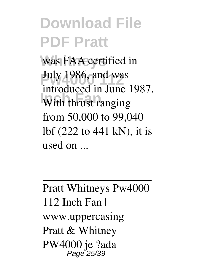was FAA certified in **July 1986, and was Increased in Fanc** introduced in June 1987. from 50,000 to 99,040 lbf (222 to 441 kN), it is used on ...

Pratt Whitneys Pw4000 112 Inch Fan | www.uppercasing Pratt & Whitney PW4000 je ?ada Page 25/39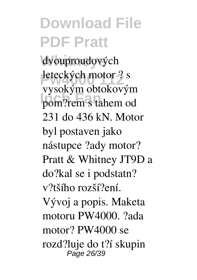dvouproudových **Peteckých motor ? s Pom?rem s tahem od** vysokým obtokovým 231 do 436 kN. Motor byl postaven jako nástupce ?ady motor? Pratt & Whitney JT9D a do?kal se i podstatn? v?tšího rozší?ení. Vývoj a popis. Maketa motoru PW4000. ?ada motor? PW4000 se rozd?luje do t?í skupin Page 26/39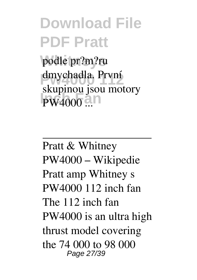**Whitneys** podle pr?m?ru dmychadla. První **PW4000 ...** skupinou jsou motory

Pratt & Whitney PW4000 – Wikipedie Pratt amp Whitney s PW4000 112 inch fan The 112 inch fan PW4000 is an ultra high thrust model covering the 74 000 to 98 000 Page 27/39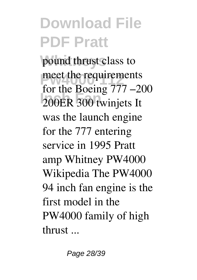pound thrust class to meet the requirements **Inch Fan** 200ER 300 twinjets It for the Boeing 777 –200 was the launch engine for the 777 entering service in 1995 Pratt amp Whitney PW4000 Wikipedia The PW4000 94 inch fan engine is the first model in the PW4000 family of high thrust ...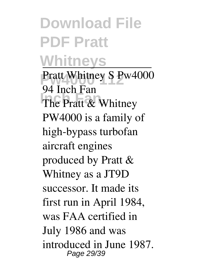#### **Download File PDF Pratt Whitneys**

Pratt Whitney S Pw4000 The Pratt & Whitney 94 Inch Fan PW4000 is a family of high-bypass turbofan aircraft engines produced by Pratt & Whitney as a JT9D successor. It made its first run in April 1984, was FAA certified in July 1986 and was introduced in June 1987. Page 29/39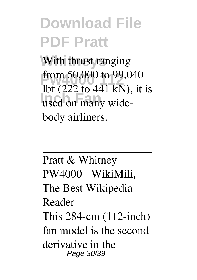With thrust ranging from 50,000 to 99,040<br>Ib f (222 to 441 lzN) it **Inch Fan** used on many widelbf  $(222 \text{ to } 441 \text{ kN})$ , it is body airliners.

Pratt & Whitney PW4000 - WikiMili, The Best Wikipedia Reader This 284-cm (112-inch) fan model is the second derivative in the Page 30/39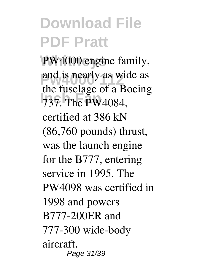PW4000 engine family, and is nearly as wide as **Inch Fan** 737. The PW4084, the fuselage of a Boeing certified at 386 kN (86,760 pounds) thrust, was the launch engine for the B777, entering service in 1995. The PW4098 was certified in 1998 and powers B777-200ER and 777-300 wide-body aircraft. Page 31/39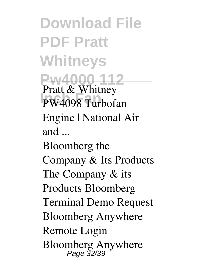**Download File PDF Pratt Whitneys Pw4000 112 Pratt & Whitney** PW4098 Turbofan Engine | National Air and ... Bloomberg the Company & Its Products The Company & its Products Bloomberg Terminal Demo Request Bloomberg Anywhere Remote Login Bloomberg Anywhere Page 32/39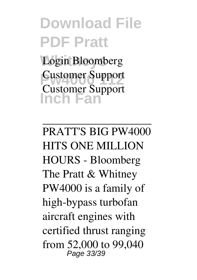Login Bloomberg **Customer Support Inch Fan** Customer Support

PRATT'S BIG PW4000 HITS ONE MILLION HOURS - Bloomberg The Pratt & Whitney PW4000 is a family of high-bypass turbofan aircraft engines with certified thrust ranging from 52,000 to 99,040 Page 33/39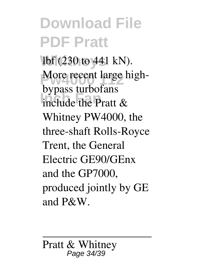lbf (230 to 441 kN). More recent large high-**Inch Fan** include the Pratt & bypass turbofans Whitney PW4000, the three-shaft Rolls-Royce Trent, the General Electric GE90/GEnx and the GP7000, produced jointly by GE and P&W.

Pratt & Whitney Page 34/39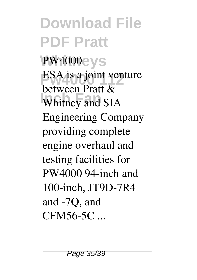#### **Download File PDF Pratt PW4000eys ESA** is a joint venture **Whitney and SIA** between Pratt & Engineering Company providing complete engine overhaul and testing facilities for PW4000 94-inch and 100-inch, JT9D-7R4 and -7Q, and CFM56-5C ...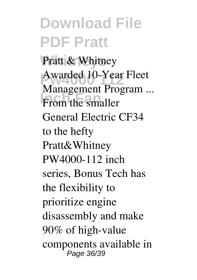Pratt & Whitney Awarded 10-Year Fleet **Industrial**<br>From the smaller Management Program ... General Electric CF34 to the hefty Pratt&Whitney PW4000-112 inch series, Bonus Tech has the flexibility to prioritize engine disassembly and make 90% of high-value components available in Page 36/39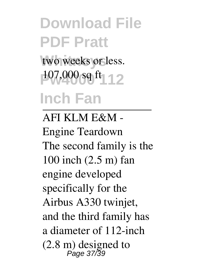### **Download File PDF Pratt** two weeks or less. 107,000 sq ft | 12 **Inch Fan**

AFI KLM E&M - Engine Teardown The second family is the 100 inch (2.5 m) fan engine developed specifically for the Airbus A330 twinjet, and the third family has a diameter of 112-inch  $(2.8 \text{ m})$  designed to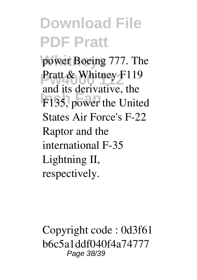power Boeing 777. The Pratt & Whitney F119 **F135, power the United** and its derivative, the States Air Force's F-22 Raptor and the international F-35 Lightning II, respectively.

Copyright code : 0d3f61 b6c5a1ddf040f4a74777 Page 38/39